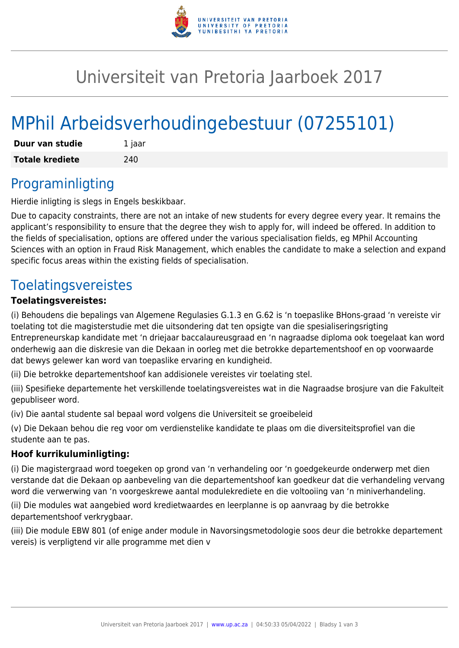

## Universiteit van Pretoria Jaarboek 2017

# MPhil Arbeidsverhoudingebestuur (07255101)

| Duur van studie        | 1 jaar |
|------------------------|--------|
| <b>Totale krediete</b> | 240    |

#### Programinligting

Hierdie inligting is slegs in Engels beskikbaar.

Due to capacity constraints, there are not an intake of new students for every degree every year. It remains the applicant's responsibility to ensure that the degree they wish to apply for, will indeed be offered. In addition to the fields of specialisation, options are offered under the various specialisation fields, eg MPhil Accounting Sciences with an option in Fraud Risk Management, which enables the candidate to make a selection and expand specific focus areas within the existing fields of specialisation.

### Toelatingsvereistes

#### **Toelatingsvereistes:**

(i) Behoudens die bepalings van Algemene Regulasies G.1.3 en G.62 is 'n toepaslike BHons-graad 'n vereiste vir toelating tot die magisterstudie met die uitsondering dat ten opsigte van die spesialiseringsrigting Entrepreneurskap kandidate met 'n driejaar baccalaureusgraad en 'n nagraadse diploma ook toegelaat kan word onderhewig aan die diskresie van die Dekaan in oorleg met die betrokke departementshoof en op voorwaarde dat bewys gelewer kan word van toepaslike ervaring en kundigheid.

(ii) Die betrokke departementshoof kan addisionele vereistes vir toelating stel.

(iii) Spesifieke departemente het verskillende toelatingsvereistes wat in die Nagraadse brosjure van die Fakulteit gepubliseer word.

(iv) Die aantal studente sal bepaal word volgens die Universiteit se groeibeleid

(v) Die Dekaan behou die reg voor om verdienstelike kandidate te plaas om die diversiteitsprofiel van die studente aan te pas.

#### **Hoof kurrikuluminligting:**

(i) Die magistergraad word toegeken op grond van 'n verhandeling oor 'n goedgekeurde onderwerp met dien verstande dat die Dekaan op aanbeveling van die departementshoof kan goedkeur dat die verhandeling vervang word die verwerwing van 'n voorgeskrewe aantal modulekrediete en die voltooiing van 'n miniverhandeling.

(ii) Die modules wat aangebied word kredietwaardes en leerplanne is op aanvraag by die betrokke departementshoof verkrygbaar.

(iii) Die module EBW 801 (of enige ander module in Navorsingsmetodologie soos deur die betrokke departement vereis) is verpligtend vir alle programme met dien v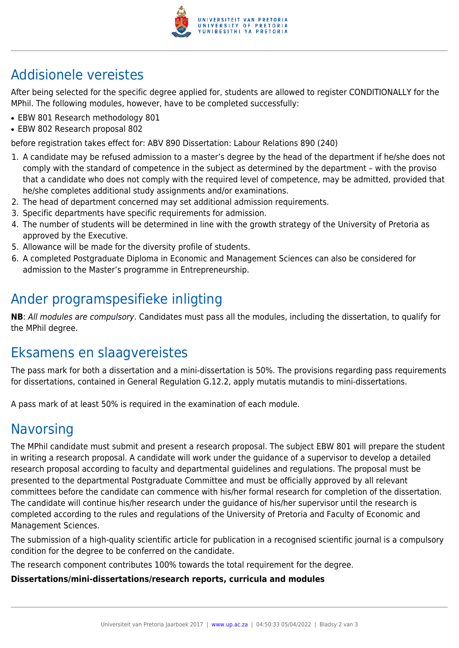

### Addisionele vereistes

After being selected for the specific degree applied for, students are allowed to register CONDITIONALLY for the MPhil. The following modules, however, have to be completed successfully:

- EBW 801 Research methodology 801
- EBW 802 Research proposal 802

before registration takes effect for: ABV 890 Dissertation: Labour Relations 890 (240)

- 1. A candidate may be refused admission to a master's degree by the head of the department if he/she does not comply with the standard of competence in the subject as determined by the department – with the proviso that a candidate who does not comply with the required level of competence, may be admitted, provided that he/she completes additional study assignments and/or examinations.
- 2. The head of department concerned may set additional admission requirements.
- 3. Specific departments have specific requirements for admission.
- 4. The number of students will be determined in line with the growth strategy of the University of Pretoria as approved by the Executive.
- 5. Allowance will be made for the diversity profile of students.
- 6. A completed Postgraduate Diploma in Economic and Management Sciences can also be considered for admission to the Master's programme in Entrepreneurship.

### Ander programspesifieke inligting

**NB**: All modules are compulsory. Candidates must pass all the modules, including the dissertation, to qualify for the MPhil degree.

### Eksamens en slaagvereistes

The pass mark for both a dissertation and a mini-dissertation is 50%. The provisions regarding pass requirements for dissertations, contained in General Regulation G.12.2, apply mutatis mutandis to mini-dissertations.

A pass mark of at least 50% is required in the examination of each module.

### **Navorsing**

The MPhil candidate must submit and present a research proposal. The subject EBW 801 will prepare the student in writing a research proposal. A candidate will work under the guidance of a supervisor to develop a detailed research proposal according to faculty and departmental guidelines and regulations. The proposal must be presented to the departmental Postgraduate Committee and must be officially approved by all relevant committees before the candidate can commence with his/her formal research for completion of the dissertation. The candidate will continue his/her research under the guidance of his/her supervisor until the research is completed according to the rules and regulations of the University of Pretoria and Faculty of Economic and Management Sciences.

The submission of a high-quality scientific article for publication in a recognised scientific journal is a compulsory condition for the degree to be conferred on the candidate.

The research component contributes 100% towards the total requirement for the degree.

#### **Dissertations/mini-dissertations/research reports, curricula and modules**